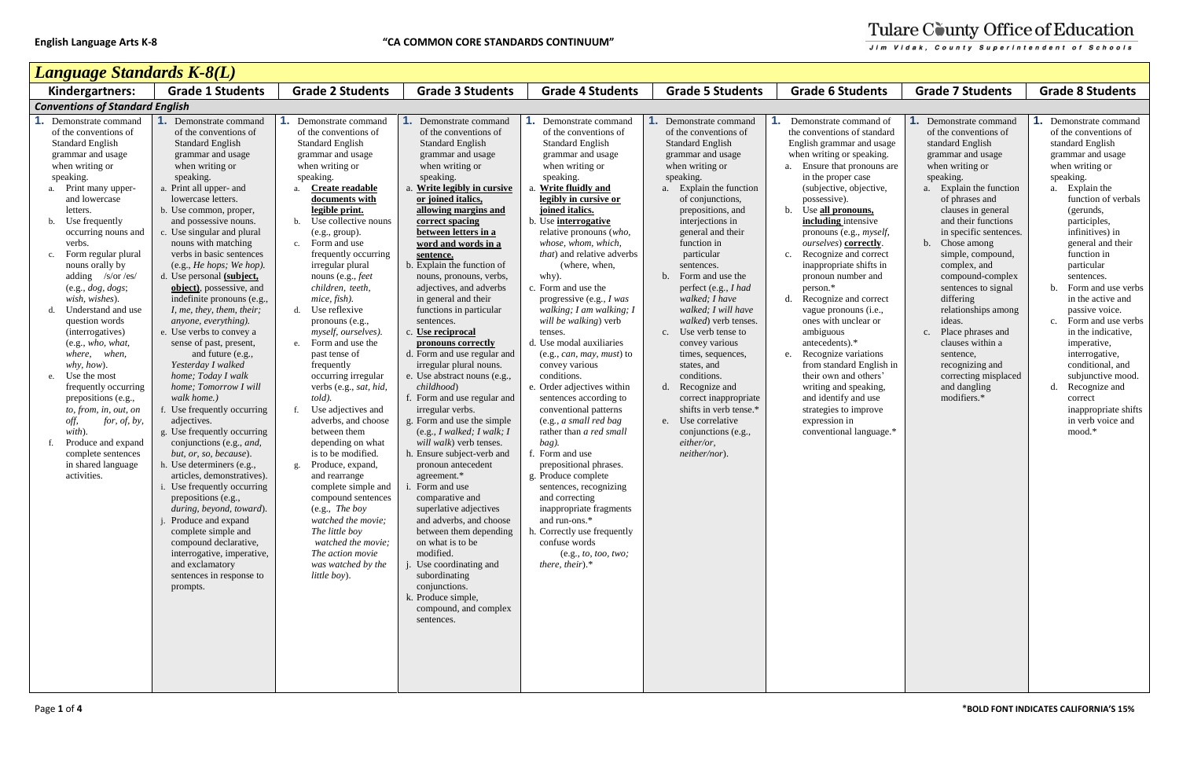| I              |
|----------------|
|                |
|                |
| $\overline{a}$ |
|                |
|                |
|                |

| Language Standards K-8(L)                                                                                                                                                                                                                                                                                                                                                                                                                                                                                                                                                                                                                                                     |                                                                                                                                                                                                                                                                                                                                                                                                                                                                                                                                                                                                                                                                                                                                                                                                                                                                                                                                                                                                                                                                                                                 |                                                                                                                                                                                                                                                                                                                                                                                                                                                                                                                                                                                                                                                                                                                                                                                                                                                                                      |                                                                                                                                                                                                                                                                                                                                                                                                                                                                                                                                                                                                                                                                                                                                                                                                                                                                                                                                                                                                                                                                                                  |                                                                                                                                                                                                                                                                                                                                                                                                                                                                                                                                                                                                                                                                                                                                                                                                                                                                                                                                                                         |                                                                                                                                                                                                                                                                                                                                                                                                                                                                                                                                                                                                                                                                     |                                                                                                                                                                                                                                                                                                                                                                                                                                                                                                                                                                                                                                                                                                                                                                               |                                                                                                                                                                                                                                                                                                                                                                                                                                                                                                                                       |                                                                                                                                                                                                                                                                                                                                                                                                                                                                                                                                                                  |
|-------------------------------------------------------------------------------------------------------------------------------------------------------------------------------------------------------------------------------------------------------------------------------------------------------------------------------------------------------------------------------------------------------------------------------------------------------------------------------------------------------------------------------------------------------------------------------------------------------------------------------------------------------------------------------|-----------------------------------------------------------------------------------------------------------------------------------------------------------------------------------------------------------------------------------------------------------------------------------------------------------------------------------------------------------------------------------------------------------------------------------------------------------------------------------------------------------------------------------------------------------------------------------------------------------------------------------------------------------------------------------------------------------------------------------------------------------------------------------------------------------------------------------------------------------------------------------------------------------------------------------------------------------------------------------------------------------------------------------------------------------------------------------------------------------------|--------------------------------------------------------------------------------------------------------------------------------------------------------------------------------------------------------------------------------------------------------------------------------------------------------------------------------------------------------------------------------------------------------------------------------------------------------------------------------------------------------------------------------------------------------------------------------------------------------------------------------------------------------------------------------------------------------------------------------------------------------------------------------------------------------------------------------------------------------------------------------------|--------------------------------------------------------------------------------------------------------------------------------------------------------------------------------------------------------------------------------------------------------------------------------------------------------------------------------------------------------------------------------------------------------------------------------------------------------------------------------------------------------------------------------------------------------------------------------------------------------------------------------------------------------------------------------------------------------------------------------------------------------------------------------------------------------------------------------------------------------------------------------------------------------------------------------------------------------------------------------------------------------------------------------------------------------------------------------------------------|-------------------------------------------------------------------------------------------------------------------------------------------------------------------------------------------------------------------------------------------------------------------------------------------------------------------------------------------------------------------------------------------------------------------------------------------------------------------------------------------------------------------------------------------------------------------------------------------------------------------------------------------------------------------------------------------------------------------------------------------------------------------------------------------------------------------------------------------------------------------------------------------------------------------------------------------------------------------------|---------------------------------------------------------------------------------------------------------------------------------------------------------------------------------------------------------------------------------------------------------------------------------------------------------------------------------------------------------------------------------------------------------------------------------------------------------------------------------------------------------------------------------------------------------------------------------------------------------------------------------------------------------------------|-------------------------------------------------------------------------------------------------------------------------------------------------------------------------------------------------------------------------------------------------------------------------------------------------------------------------------------------------------------------------------------------------------------------------------------------------------------------------------------------------------------------------------------------------------------------------------------------------------------------------------------------------------------------------------------------------------------------------------------------------------------------------------|---------------------------------------------------------------------------------------------------------------------------------------------------------------------------------------------------------------------------------------------------------------------------------------------------------------------------------------------------------------------------------------------------------------------------------------------------------------------------------------------------------------------------------------|------------------------------------------------------------------------------------------------------------------------------------------------------------------------------------------------------------------------------------------------------------------------------------------------------------------------------------------------------------------------------------------------------------------------------------------------------------------------------------------------------------------------------------------------------------------|
| Kindergartners:                                                                                                                                                                                                                                                                                                                                                                                                                                                                                                                                                                                                                                                               | <b>Grade 1 Students</b>                                                                                                                                                                                                                                                                                                                                                                                                                                                                                                                                                                                                                                                                                                                                                                                                                                                                                                                                                                                                                                                                                         | <b>Grade 2 Students</b>                                                                                                                                                                                                                                                                                                                                                                                                                                                                                                                                                                                                                                                                                                                                                                                                                                                              | <b>Grade 3 Students</b>                                                                                                                                                                                                                                                                                                                                                                                                                                                                                                                                                                                                                                                                                                                                                                                                                                                                                                                                                                                                                                                                          | <b>Grade 4 Students</b>                                                                                                                                                                                                                                                                                                                                                                                                                                                                                                                                                                                                                                                                                                                                                                                                                                                                                                                                                 | <b>Grade 5 Students</b>                                                                                                                                                                                                                                                                                                                                                                                                                                                                                                                                                                                                                                             | <b>Grade 6 Students</b>                                                                                                                                                                                                                                                                                                                                                                                                                                                                                                                                                                                                                                                                                                                                                       | <b>Grade 7 Students</b>                                                                                                                                                                                                                                                                                                                                                                                                                                                                                                               | <b>Grade 8 Students</b>                                                                                                                                                                                                                                                                                                                                                                                                                                                                                                                                          |
| <b>Conventions of Standard English</b>                                                                                                                                                                                                                                                                                                                                                                                                                                                                                                                                                                                                                                        |                                                                                                                                                                                                                                                                                                                                                                                                                                                                                                                                                                                                                                                                                                                                                                                                                                                                                                                                                                                                                                                                                                                 |                                                                                                                                                                                                                                                                                                                                                                                                                                                                                                                                                                                                                                                                                                                                                                                                                                                                                      |                                                                                                                                                                                                                                                                                                                                                                                                                                                                                                                                                                                                                                                                                                                                                                                                                                                                                                                                                                                                                                                                                                  |                                                                                                                                                                                                                                                                                                                                                                                                                                                                                                                                                                                                                                                                                                                                                                                                                                                                                                                                                                         |                                                                                                                                                                                                                                                                                                                                                                                                                                                                                                                                                                                                                                                                     |                                                                                                                                                                                                                                                                                                                                                                                                                                                                                                                                                                                                                                                                                                                                                                               |                                                                                                                                                                                                                                                                                                                                                                                                                                                                                                                                       |                                                                                                                                                                                                                                                                                                                                                                                                                                                                                                                                                                  |
| Demonstrate command<br>of the conventions of<br><b>Standard English</b><br>grammar and usage<br>when writing or<br>speaking.<br>Print many upper-<br>and lowercase<br>letters.<br>Use frequently<br>occurring nouns and<br>verbs.<br>Form regular plural<br>c.<br>nouns orally by<br>adding /s/or /es/<br>(e.g., dog, dogs;<br>wish, wishes).<br>Understand and use<br>question words<br>(interrogatives)<br>(e.g., who, what,<br>where, when,<br>why, how).<br>Use the most<br>e.<br>frequently occurring<br>prepositions (e.g.,<br>to, from, in, out, on<br>off,<br>for, of, by,<br>with).<br>Produce and expand<br>complete sentences<br>in shared language<br>activities. | Demonstrate command<br>of the conventions of<br><b>Standard English</b><br>grammar and usage<br>when writing or<br>speaking.<br>a. Print all upper- and<br>lowercase letters.<br>b. Use common, proper,<br>and possessive nouns.<br>c. Use singular and plural<br>nouns with matching<br>verbs in basic sentences<br>(e.g., He hops; We hop).<br>d. Use personal <i>(subject,</i><br>object), possessive, and<br>indefinite pronouns (e.g.,<br>I, me, they, them, their;<br>anyone, everything).<br>e. Use verbs to convey a<br>sense of past, present,<br>and future (e.g.,<br>Yesterday I walked<br>home; Today I walk<br>home; Tomorrow I will<br>walk home.)<br>f. Use frequently occurring<br>adjectives.<br>g. Use frequently occurring<br>conjunctions (e.g., and,<br>but, or, so, because).<br>h. Use determiners (e.g.,<br>articles, demonstratives).<br>i. Use frequently occurring<br>prepositions (e.g.,<br>during, beyond, toward).<br>Produce and expand<br>complete simple and<br>compound declarative,<br>interrogative, imperative,<br>and exclamatory<br>sentences in response to<br>prompts. | Demonstrate command<br>of the conventions of<br><b>Standard English</b><br>grammar and usage<br>when writing or<br>speaking.<br>Create readable<br>documents with<br>legible print.<br>Use collective nouns<br>(e.g., group).<br>Form and use<br>$\mathbf{c}$ .<br>frequently occurring<br>irregular plural<br>nouns (e.g., feet<br>children, teeth,<br>mice, fish).<br>Use reflexive<br>pronouns (e.g.,<br>myself, ourselves).<br>Form and use the<br>past tense of<br>frequently<br>occurring irregular<br>verbs (e.g., sat, hid,<br>$told$ ).<br>Use adjectives and<br>adverbs, and choose<br>between them<br>depending on what<br>is to be modified.<br>Produce, expand,<br>and rearrange<br>complete simple and<br>compound sentences<br>(e.g., The boy<br>watched the movie;<br>The little boy<br>watched the movie;<br>The action movie<br>was watched by the<br>little boy). | Demonstrate command<br>of the conventions of<br><b>Standard English</b><br>grammar and usage<br>when writing or<br>speaking.<br>a. Write legibly in cursive<br>or joined italics,<br>allowing margins and<br>correct spacing<br>between letters in a<br>word and words in a<br>sentence.<br>b. Explain the function of<br>nouns, pronouns, verbs,<br>adjectives, and adverbs<br>in general and their<br>functions in particular<br>sentences.<br>c. Use reciprocal<br>pronouns correctly<br>d. Form and use regular and<br>irregular plural nouns.<br>e. Use abstract nouns (e.g.,<br>childhood)<br>f. Form and use regular and<br>irregular verbs.<br>g. Form and use the simple<br>(e.g., $I$ walked; $I$ walk; $I$<br>will walk) verb tenses.<br>h. Ensure subject-verb and<br>pronoun antecedent<br>agreement.*<br>i. Form and use<br>comparative and<br>superlative adjectives<br>and adverbs, and choose<br>between them depending<br>on what is to be<br>modified.<br>Use coordinating and<br>subordinating<br>conjunctions.<br>k. Produce simple,<br>compound, and complex<br>sentences. | <b>1.</b> Demonstrate command<br>of the conventions of<br><b>Standard English</b><br>grammar and usage<br>when writing or<br>speaking.<br>a. Write fluidly and<br>legibly in cursive or<br>joined italics.<br>b. Use interrogative<br>relative pronouns (who,<br>whose, whom, which,<br>that) and relative adverbs<br>(where, when,<br>why).<br>c. Form and use the<br>progressive (e.g., I was<br>walking; I am walking; I<br>will be walking) verb<br>tenses.<br>d. Use modal auxiliaries<br>$(e.g., can, may, must)$ to<br>convey various<br>conditions.<br>e. Order adjectives within<br>sentences according to<br>conventional patterns<br>(e.g., a small red bag<br>rather than a red small<br>$bag)$ .<br>f. Form and use<br>prepositional phrases.<br>g. Produce complete<br>sentences, recognizing<br>and correcting<br>inappropriate fragments<br>and run-ons.*<br>h. Correctly use frequently<br>confuse words<br>(e.g., to, too, two;<br>there, their). $*$ | Demonstrate command<br>of the conventions of<br><b>Standard English</b><br>grammar and usage<br>when writing or<br>speaking.<br>Explain the function<br>of conjunctions,<br>prepositions, and<br>interjections in<br>general and their<br>function in<br>particular<br>sentences.<br>Form and use the<br>$\mathbf{b}$ .<br>perfect (e.g., I had<br>walked; I have<br>walked; I will have<br>walked) verb tenses.<br>c. Use verb tense to<br>convey various<br>times, sequences,<br>states, and<br>conditions.<br>Recognize and<br>d.<br>correct inappropriate<br>shifts in verb tense.*<br>e. Use correlative<br>conjunctions (e.g.,<br>either/or,<br>neither/nor). | Demonstrate command of<br>the conventions of standard<br>English grammar and usage<br>when writing or speaking.<br>Ensure that pronouns are<br>a.<br>in the proper case<br>(subjective, objective,<br>possessive).<br>b. Use all pronouns,<br>including intensive<br>pronouns (e.g., <i>myself</i> ,<br><i>ourselves</i> ) <b>correctly</b> .<br>Recognize and correct<br>$\mathbf{c}$ .<br>inappropriate shifts in<br>pronoun number and<br>person.*<br>Recognize and correct<br>d.<br>vague pronouns (i.e.,<br>ones with unclear or<br>ambiguous<br>antecedents).*<br>Recognize variations<br>e.<br>from standard English in<br>their own and others'<br>writing and speaking,<br>and identify and use<br>strategies to improve<br>expression in<br>conventional language.* | <b>L.</b> Demonstrate command<br>of the conventions of<br>standard English<br>grammar and usage<br>when writing or<br>speaking.<br>a. Explain the function<br>of phrases and<br>clauses in general<br>and their functions<br>in specific sentences<br>b. Chose among<br>simple, compound,<br>complex, and<br>compound-complex<br>sentences to signal<br>differing<br>relationships among<br>ideas.<br>c. Place phrases and<br>clauses within a<br>sentence,<br>recognizing and<br>correcting misplaced<br>and dangling<br>modifiers.* | Demonstrate command<br>of the conventions of<br>standard English<br>grammar and usage<br>when writing or<br>speaking.<br>Explain the<br>a.<br>function of verbals<br>(gerunds,<br>participles,<br>infinitives) in<br>general and their<br>function in<br>particular<br>sentences.<br>b. Form and use verbs<br>in the active and<br>passive voice.<br>c. Form and use verbs<br>in the indicative,<br>imperative,<br>interrogative,<br>conditional, and<br>subjunctive mood.<br>d. Recognize and<br>correct<br>inappropriate shifts<br>in verb voice and<br>mood.* |

# Tulare County Office of Education

Jim Vidak, County Superintendent of Schools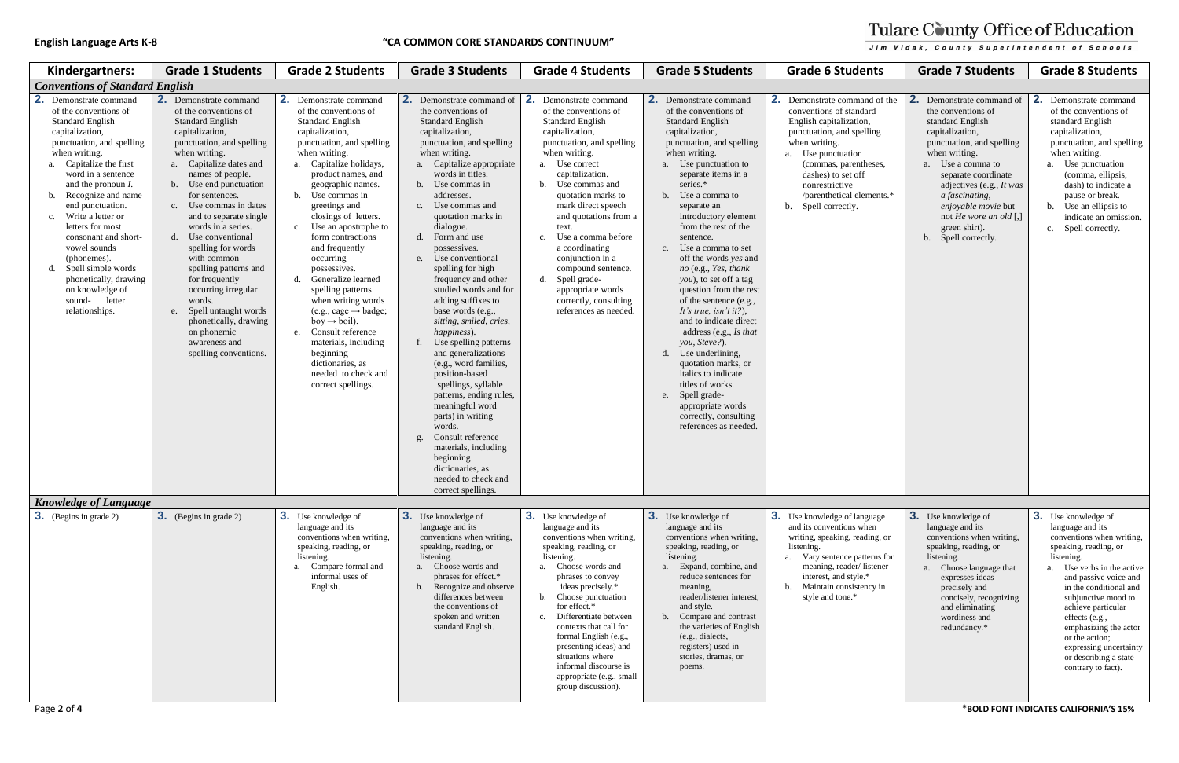### **English Language Arts K-8 "CA COMMON CORE STANDARDS CONTINUUM"**

| Kindergartners:                                                                                                                                                                                                                                                                                                                                                                                                                                                                                    | <b>Grade 1 Students</b>                                                                                                                                                                                                                                                                                                                                                                                                                                                                                                                                                      | <b>Grade 2 Students</b>                                                                                                                                                                                                                                                                                                                                                                                                                                                                                                                                                                                                                                 | <b>Grade 3 Students</b>                                                                                                                                                                                                                                                                                                                                                                                                                                                                                                                                                                                                                                                                                                                                                                                                                                          | <b>Grade 4 Students</b>                                                                                                                                                                                                                                                                                                                                                                                                                                               | <b>Grade 5 Students</b>                                                                                                                                                                                                                                                                                                                                                                                                                                                                                                                                                                                                                                                                                                                                  | <b>Grade 6 Students</b>                                                                                                                                                                                                                                                             | <b>Grade 7 Students</b>                                                                                                                                                                                                                                                                                                   | <b>Grade 8 Students</b>                                                                                                                                                                                                                                                                                                                                                                                                         |
|----------------------------------------------------------------------------------------------------------------------------------------------------------------------------------------------------------------------------------------------------------------------------------------------------------------------------------------------------------------------------------------------------------------------------------------------------------------------------------------------------|------------------------------------------------------------------------------------------------------------------------------------------------------------------------------------------------------------------------------------------------------------------------------------------------------------------------------------------------------------------------------------------------------------------------------------------------------------------------------------------------------------------------------------------------------------------------------|---------------------------------------------------------------------------------------------------------------------------------------------------------------------------------------------------------------------------------------------------------------------------------------------------------------------------------------------------------------------------------------------------------------------------------------------------------------------------------------------------------------------------------------------------------------------------------------------------------------------------------------------------------|------------------------------------------------------------------------------------------------------------------------------------------------------------------------------------------------------------------------------------------------------------------------------------------------------------------------------------------------------------------------------------------------------------------------------------------------------------------------------------------------------------------------------------------------------------------------------------------------------------------------------------------------------------------------------------------------------------------------------------------------------------------------------------------------------------------------------------------------------------------|-----------------------------------------------------------------------------------------------------------------------------------------------------------------------------------------------------------------------------------------------------------------------------------------------------------------------------------------------------------------------------------------------------------------------------------------------------------------------|----------------------------------------------------------------------------------------------------------------------------------------------------------------------------------------------------------------------------------------------------------------------------------------------------------------------------------------------------------------------------------------------------------------------------------------------------------------------------------------------------------------------------------------------------------------------------------------------------------------------------------------------------------------------------------------------------------------------------------------------------------|-------------------------------------------------------------------------------------------------------------------------------------------------------------------------------------------------------------------------------------------------------------------------------------|---------------------------------------------------------------------------------------------------------------------------------------------------------------------------------------------------------------------------------------------------------------------------------------------------------------------------|---------------------------------------------------------------------------------------------------------------------------------------------------------------------------------------------------------------------------------------------------------------------------------------------------------------------------------------------------------------------------------------------------------------------------------|
| <b>Conventions of Standard English</b>                                                                                                                                                                                                                                                                                                                                                                                                                                                             |                                                                                                                                                                                                                                                                                                                                                                                                                                                                                                                                                                              |                                                                                                                                                                                                                                                                                                                                                                                                                                                                                                                                                                                                                                                         |                                                                                                                                                                                                                                                                                                                                                                                                                                                                                                                                                                                                                                                                                                                                                                                                                                                                  |                                                                                                                                                                                                                                                                                                                                                                                                                                                                       |                                                                                                                                                                                                                                                                                                                                                                                                                                                                                                                                                                                                                                                                                                                                                          |                                                                                                                                                                                                                                                                                     |                                                                                                                                                                                                                                                                                                                           |                                                                                                                                                                                                                                                                                                                                                                                                                                 |
| 2.<br>Demonstrate command<br>of the conventions of<br><b>Standard English</b><br>capitalization,<br>punctuation, and spelling<br>when writing.<br>a. Capitalize the first<br>word in a sentence<br>and the pronoun $I$ .<br>b. Recognize and name<br>end punctuation.<br>Write a letter or<br>$c_{\cdot}$<br>letters for most<br>consonant and short-<br>vowel sounds<br>(phonemes).<br>Spell simple words<br>d.<br>phonetically, drawing<br>on knowledge of<br>sound-<br>letter<br>relationships. | <b>2.</b> Demonstrate command<br>of the conventions of<br><b>Standard English</b><br>capitalization,<br>punctuation, and spelling<br>when writing.<br>a. Capitalize dates and<br>names of people.<br>b. Use end punctuation<br>for sentences.<br>c. Use commas in dates<br>and to separate single<br>words in a series.<br>d. Use conventional<br>spelling for words<br>with common<br>spelling patterns and<br>for frequently<br>occurring irregular<br>words.<br>e. Spell untaught words<br>phonetically, drawing<br>on phonemic<br>awareness and<br>spelling conventions. | 2. Demonstrate command<br>of the conventions of<br><b>Standard English</b><br>capitalization,<br>punctuation, and spelling<br>when writing.<br>a. Capitalize holidays,<br>product names, and<br>geographic names.<br>b. Use commas in<br>greetings and<br>closings of letters.<br>c. Use an apostrophe to<br>form contractions<br>and frequently<br>occurring<br>possessives.<br>d. Generalize learned<br>spelling patterns<br>when writing words<br>$(e.g., cage \rightarrow badge;$<br>$boy \rightarrow \text{boil}$ ).<br>e. Consult reference<br>materials, including<br>beginning<br>dictionaries, as<br>needed to check and<br>correct spellings. | <b>2.</b> Demonstrate command of<br>the conventions of<br><b>Standard English</b><br>capitalization,<br>punctuation, and spelling<br>when writing.<br>a. Capitalize appropriate<br>words in titles.<br>b. Use commas in<br>addresses.<br>c. Use commas and<br>quotation marks in<br>dialogue.<br>d. Form and use<br>possessives.<br>e. Use conventional<br>spelling for high<br>frequency and other<br>studied words and for<br>adding suffixes to<br>base words (e.g.,<br>sitting, smiled, cries,<br>happiness).<br>f. Use spelling patterns<br>and generalizations<br>(e.g., word families,<br>position-based<br>spellings, syllable<br>patterns, ending rules,<br>meaningful word<br>parts) in writing<br>words.<br>Consult reference<br>g <sub>1</sub><br>materials, including<br>beginning<br>dictionaries, as<br>needed to check and<br>correct spellings. | 2.<br>Demonstrate command<br>of the conventions of<br><b>Standard English</b><br>capitalization,<br>punctuation, and spelling<br>when writing.<br>a. Use correct<br>capitalization.<br>b. Use commas and<br>quotation marks to<br>mark direct speech<br>and quotations from a<br>text.<br>c. Use a comma before<br>a coordinating<br>conjunction in a<br>compound sentence.<br>d. Spell grade-<br>appropriate words<br>correctly, consulting<br>references as needed. | 2.<br>Demonstrate command<br>of the conventions of<br><b>Standard English</b><br>capitalization,<br>punctuation, and spelling<br>when writing.<br>a. Use punctuation to<br>separate items in a<br>series.*<br>b. Use a comma to<br>separate an<br>introductory element<br>from the rest of the<br>sentence.<br>c. Use a comma to set<br>off the words yes and<br>no (e.g., Yes, thank<br>you), to set off a tag<br>question from the rest<br>of the sentence (e.g.,<br>It's true, isn't it?),<br>and to indicate direct<br>address (e.g., Is that<br>you, Steve?).<br>d. Use underlining,<br>quotation marks, or<br>italics to indicate<br>titles of works.<br>Spell grade-<br>e.<br>appropriate words<br>correctly, consulting<br>references as needed. | <b>2.</b> Demonstrate command of the<br>conventions of standard<br>English capitalization,<br>punctuation, and spelling<br>when writing.<br>a. Use punctuation<br>(commas, parentheses,<br>dashes) to set off<br>nonrestrictive<br>/parenthetical elements.*<br>b. Spell correctly. | 2. Demonstrate command of<br>the conventions of<br>standard English<br>capitalization,<br>punctuation, and spelling<br>when writing.<br>a. Use a comma to<br>separate coordinate<br>adjectives (e.g., It was<br>a fascinating,<br>enjoyable movie but<br>not He wore an old $[,]$<br>green shirt).<br>b. Spell correctly. | 2. Demonstrate command<br>of the conventions of<br>standard English<br>capitalization,<br>punctuation, and spelling<br>when writing.<br>a. Use punctuation<br>(comma, ellipsis,<br>dash) to indicate a<br>pause or break.<br>b. Use an ellipsis to<br>indicate an omission.<br>c. Spell correctly.                                                                                                                              |
| <b>Knowledge of Language</b>                                                                                                                                                                                                                                                                                                                                                                                                                                                                       |                                                                                                                                                                                                                                                                                                                                                                                                                                                                                                                                                                              |                                                                                                                                                                                                                                                                                                                                                                                                                                                                                                                                                                                                                                                         |                                                                                                                                                                                                                                                                                                                                                                                                                                                                                                                                                                                                                                                                                                                                                                                                                                                                  |                                                                                                                                                                                                                                                                                                                                                                                                                                                                       |                                                                                                                                                                                                                                                                                                                                                                                                                                                                                                                                                                                                                                                                                                                                                          |                                                                                                                                                                                                                                                                                     |                                                                                                                                                                                                                                                                                                                           |                                                                                                                                                                                                                                                                                                                                                                                                                                 |
| <b>3.</b> (Begins in grade 2)<br>Page 2 of 4                                                                                                                                                                                                                                                                                                                                                                                                                                                       | <b>3.</b> (Begins in grade 2)                                                                                                                                                                                                                                                                                                                                                                                                                                                                                                                                                | <b>3.</b> Use knowledge of<br>language and its<br>conventions when writing,<br>speaking, reading, or<br>listening.<br>a. Compare formal and<br>informal uses of<br>English.                                                                                                                                                                                                                                                                                                                                                                                                                                                                             | 3. Use knowledge of<br>language and its<br>conventions when writing,<br>speaking, reading, or<br>listening.<br>a. Choose words and<br>phrases for effect.*<br>b. Recognize and observe<br>differences between<br>the conventions of<br>spoken and written<br>standard English.                                                                                                                                                                                                                                                                                                                                                                                                                                                                                                                                                                                   | 3. Use knowledge of<br>language and its<br>conventions when writing,<br>speaking, reading, or<br>listening.<br>a. Choose words and<br>phrases to convey<br>ideas precisely.*<br>b. Choose punctuation<br>for effect.*<br>c. Differentiate between<br>contexts that call for<br>formal English (e.g.,<br>presenting ideas) and<br>situations where<br>informal discourse is<br>appropriate (e.g., small<br>group discussion).                                          | <b>3.</b> Use knowledge of<br>language and its<br>conventions when writing,<br>speaking, reading, or<br>listening.<br>a. Expand, combine, and<br>reduce sentences for<br>meaning.<br>reader/listener interest,<br>and style.<br>b. Compare and contrast<br>the varieties of English<br>(e.g., dialects,<br>registers) used in<br>stories, dramas, or<br>poems.                                                                                                                                                                                                                                                                                                                                                                                           | 3. Use knowledge of language<br>and its conventions when<br>writing, speaking, reading, or<br>listening.<br>a. Vary sentence patterns for<br>meaning, reader/listener<br>interest, and style.*<br>Maintain consistency in<br>$h_{\cdot}$<br>style and tone.*                        | 3. Use knowledge of<br>language and its<br>conventions when writing,<br>speaking, reading, or<br>listening.<br>a. Choose language that<br>expresses ideas<br>precisely and<br>concisely, recognizing<br>and eliminating<br>wordiness and<br>redundancy.*                                                                  | <b>3.</b> Use knowledge of<br>language and its<br>conventions when writing,<br>speaking, reading, or<br>listening.<br>a. Use verbs in the active<br>and passive voice and<br>in the conditional and<br>subjunctive mood to<br>achieve particular<br>effects (e.g.,<br>emphasizing the actor<br>or the action;<br>expressing uncertainty<br>or describing a state<br>contrary to fact).<br>*BOLD FONT INDICATES CALIFORNIA'S 15% |

# Tulare County Office of Education

Jim Vidak, County Superintendent of Schools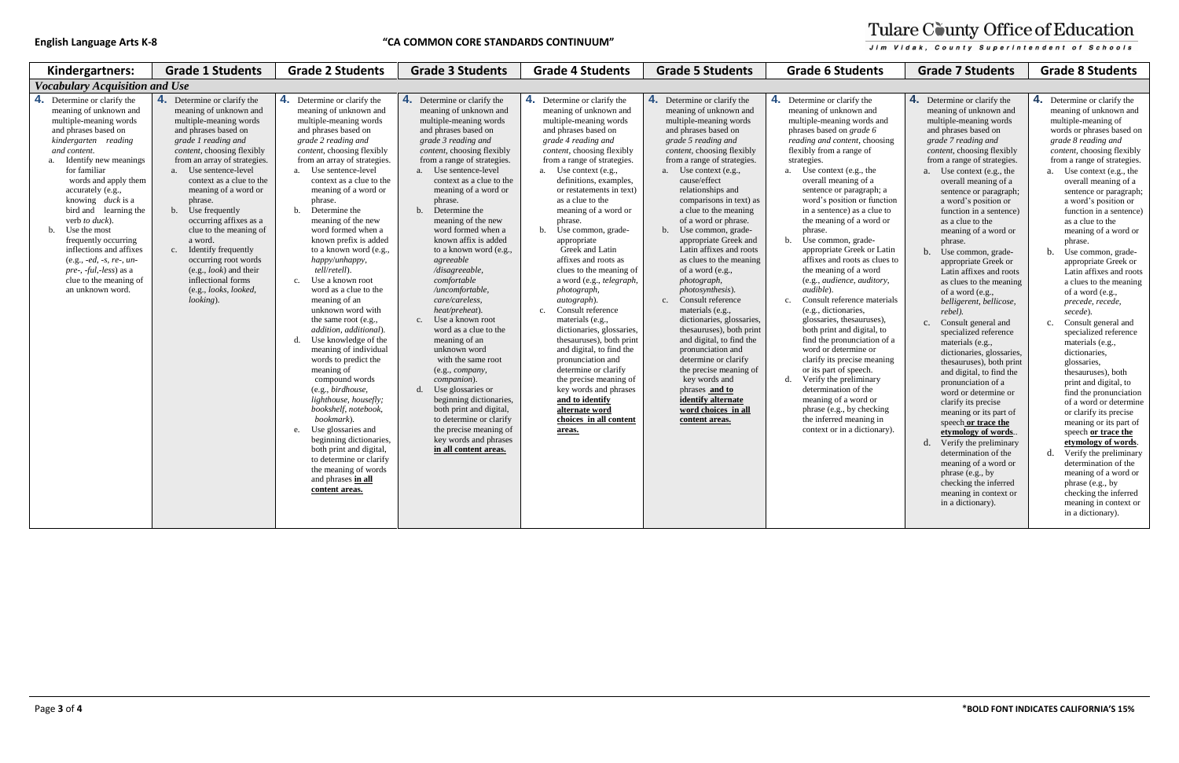### **English Language Arts K-8 "CA COMMON CORE STANDARDS CONTINUUM"**

| Kindergartners:                                                                                                                                                                                                                                                                                                                                                                                                                                                                                          | <b>Grade 1 Students</b>                                                                                                                                                                                                                                                                                                                                                                                                                                                                                                            | <b>Grade 2 Students</b>                                                                                                                                                                                                                                                                                                                                                                                                                                                                                                                                                                                                                                                                                                                                                                                                                                                                                                                                         | <b>Grade 3 Students</b>                                                                                                                                                                                                                                                                                                                                                                                                                                                                                                                                                                                                                                                                                                                                                                                                                  | <b>Grade 4 Students</b>                                                                                                                                                                                                                                                                                                                                                                                                                                                                                                                                                                                                                                                                                                                                                                                                                    | <b>Grade 5 Students</b>                                                                                                                                                                                                                                                                                                                                                                                                                                                                                                                                                                                                                                                                                                                                                                                        | <b>Grade 6 Students</b>                                                                                                                                                                                                                                                                                                                                                                                                                                                                                                                                                                                                                                                                                                                                                                                                                                                                                                                                                   | <b>Grade 7 Students</b>                                                                                                                                                                                                                                                                                                                                                                                                                                                                                                                                                                                                                                                                                                                                                                                                                                                                                                                                                                                                                                   | <b>Grade 8 Students</b>                                                                                                                                                                                                                                                                                                                                                                                                                                                                                                                                                                                                                                                                                                                                                                                                                                                                                                                                                                                              |
|----------------------------------------------------------------------------------------------------------------------------------------------------------------------------------------------------------------------------------------------------------------------------------------------------------------------------------------------------------------------------------------------------------------------------------------------------------------------------------------------------------|------------------------------------------------------------------------------------------------------------------------------------------------------------------------------------------------------------------------------------------------------------------------------------------------------------------------------------------------------------------------------------------------------------------------------------------------------------------------------------------------------------------------------------|-----------------------------------------------------------------------------------------------------------------------------------------------------------------------------------------------------------------------------------------------------------------------------------------------------------------------------------------------------------------------------------------------------------------------------------------------------------------------------------------------------------------------------------------------------------------------------------------------------------------------------------------------------------------------------------------------------------------------------------------------------------------------------------------------------------------------------------------------------------------------------------------------------------------------------------------------------------------|------------------------------------------------------------------------------------------------------------------------------------------------------------------------------------------------------------------------------------------------------------------------------------------------------------------------------------------------------------------------------------------------------------------------------------------------------------------------------------------------------------------------------------------------------------------------------------------------------------------------------------------------------------------------------------------------------------------------------------------------------------------------------------------------------------------------------------------|--------------------------------------------------------------------------------------------------------------------------------------------------------------------------------------------------------------------------------------------------------------------------------------------------------------------------------------------------------------------------------------------------------------------------------------------------------------------------------------------------------------------------------------------------------------------------------------------------------------------------------------------------------------------------------------------------------------------------------------------------------------------------------------------------------------------------------------------|----------------------------------------------------------------------------------------------------------------------------------------------------------------------------------------------------------------------------------------------------------------------------------------------------------------------------------------------------------------------------------------------------------------------------------------------------------------------------------------------------------------------------------------------------------------------------------------------------------------------------------------------------------------------------------------------------------------------------------------------------------------------------------------------------------------|---------------------------------------------------------------------------------------------------------------------------------------------------------------------------------------------------------------------------------------------------------------------------------------------------------------------------------------------------------------------------------------------------------------------------------------------------------------------------------------------------------------------------------------------------------------------------------------------------------------------------------------------------------------------------------------------------------------------------------------------------------------------------------------------------------------------------------------------------------------------------------------------------------------------------------------------------------------------------|-----------------------------------------------------------------------------------------------------------------------------------------------------------------------------------------------------------------------------------------------------------------------------------------------------------------------------------------------------------------------------------------------------------------------------------------------------------------------------------------------------------------------------------------------------------------------------------------------------------------------------------------------------------------------------------------------------------------------------------------------------------------------------------------------------------------------------------------------------------------------------------------------------------------------------------------------------------------------------------------------------------------------------------------------------------|----------------------------------------------------------------------------------------------------------------------------------------------------------------------------------------------------------------------------------------------------------------------------------------------------------------------------------------------------------------------------------------------------------------------------------------------------------------------------------------------------------------------------------------------------------------------------------------------------------------------------------------------------------------------------------------------------------------------------------------------------------------------------------------------------------------------------------------------------------------------------------------------------------------------------------------------------------------------------------------------------------------------|
| <b>Vocabulary Acquisition and Use</b>                                                                                                                                                                                                                                                                                                                                                                                                                                                                    |                                                                                                                                                                                                                                                                                                                                                                                                                                                                                                                                    |                                                                                                                                                                                                                                                                                                                                                                                                                                                                                                                                                                                                                                                                                                                                                                                                                                                                                                                                                                 |                                                                                                                                                                                                                                                                                                                                                                                                                                                                                                                                                                                                                                                                                                                                                                                                                                          |                                                                                                                                                                                                                                                                                                                                                                                                                                                                                                                                                                                                                                                                                                                                                                                                                                            |                                                                                                                                                                                                                                                                                                                                                                                                                                                                                                                                                                                                                                                                                                                                                                                                                |                                                                                                                                                                                                                                                                                                                                                                                                                                                                                                                                                                                                                                                                                                                                                                                                                                                                                                                                                                           |                                                                                                                                                                                                                                                                                                                                                                                                                                                                                                                                                                                                                                                                                                                                                                                                                                                                                                                                                                                                                                                           |                                                                                                                                                                                                                                                                                                                                                                                                                                                                                                                                                                                                                                                                                                                                                                                                                                                                                                                                                                                                                      |
| Determine or clarify the<br>meaning of unknown and<br>multiple-meaning words<br>and phrases based on<br>kindergarten reading<br>and content.<br>Identify new meanings<br>$\mathbf{a}$ .<br>for familiar<br>words and apply them<br>accurately (e.g.,<br>knowing <i>duck</i> is a<br>bird and learning the<br>verb to duck).<br>Use the most<br>b.<br>frequently occurring<br>inflections and affixes<br>(e.g., -ed, -s, re-, un-<br>pre-, -ful,-less) as a<br>clue to the meaning of<br>an unknown word. | <b>4.</b> Determine or clarify the<br>meaning of unknown and<br>multiple-meaning words<br>and phrases based on<br>grade 1 reading and<br>content, choosing flexibly<br>from an array of strategies.<br>a. Use sentence-level<br>context as a clue to the<br>meaning of a word or<br>phrase.<br>b. Use frequently<br>occurring affixes as a<br>clue to the meaning of<br>a word.<br>c. Identify frequently<br>occurring root words<br>(e.g., <i>look</i> ) and their<br>inflectional forms<br>(e.g., looks, looked,<br>$looking)$ . | 4. Determine or clarify the<br>meaning of unknown and<br>multiple-meaning words<br>and phrases based on<br>grade 2 reading and<br>content, choosing flexibly<br>from an array of strategies.<br>a. Use sentence-level<br>context as a clue to the<br>meaning of a word or<br>phrase.<br>b. Determine the<br>meaning of the new<br>word formed when a<br>known prefix is added<br>to a known word (e.g.,<br>happy/unhappy,<br>tell/retell).<br>c. Use a known root<br>word as a clue to the<br>meaning of an<br>unknown word with<br>the same root (e.g.,<br>addition, additional).<br>d. Use knowledge of the<br>meaning of individual<br>words to predict the<br>meaning of<br>compound words<br>(e.g., birdhouse,<br>lighthouse, housefly;<br>bookshelf, notebook,<br>bookmark).<br>Use glossaries and<br>e.<br>beginning dictionaries,<br>both print and digital,<br>to determine or clarify<br>the meaning of words<br>and phrases in all<br>content areas. | 4. Determine or clarify the<br>meaning of unknown and<br>multiple-meaning words<br>and phrases based on<br>grade 3 reading and<br>content, choosing flexibly<br>from a range of strategies.<br>a. Use sentence-level<br>context as a clue to the<br>meaning of a word or<br>phrase.<br>b. Determine the<br>meaning of the new<br>word formed when a<br>known affix is added<br>to a known word (e.g.,<br>agreeable<br>/disagreeable,<br>comfortable<br>/uncomfortable,<br>care/careless,<br>heat/preheat).<br>c. Use a known root<br>word as a clue to the<br>meaning of an<br>unknown word<br>with the same root<br>(e.g., company,<br>companion).<br>d. Use glossaries or<br>beginning dictionaries,<br>both print and digital,<br>to determine or clarify<br>the precise meaning of<br>key words and phrases<br>in all content areas. | 4. Determine or clarify the<br>meaning of unknown and<br>multiple-meaning words<br>and phrases based on<br>grade 4 reading and<br>content, choosing flexibly<br>from a range of strategies.<br>a. Use context (e.g.,<br>definitions, examples,<br>or restatements in text)<br>as a clue to the<br>meaning of a word or<br>phrase.<br>Use common, grade-<br>b.<br>appropriate<br>Greek and Latin<br>affixes and roots as<br>clues to the meaning of<br>a word (e.g., telegraph,<br>photograph,<br><i>autograph</i> ).<br>Consult reference<br>$c_{\cdot}$<br>materials (e.g.,<br>dictionaries, glossaries,<br>thesauruses), both print<br>and digital, to find the<br>pronunciation and<br>determine or clarify<br>the precise meaning of<br>key words and phrases<br>and to identify<br>alternate word<br>choices in all content<br>areas. | 4. Determine or clarify the<br>meaning of unknown and<br>multiple-meaning words<br>and phrases based on<br>grade 5 reading and<br>content, choosing flexibly<br>from a range of strategies.<br>a. Use context (e.g.,<br>cause/effect<br>relationships and<br>comparisons in text) as<br>a clue to the meaning<br>of a word or phrase.<br>b. Use common, grade-<br>appropriate Greek and<br>Latin affixes and roots<br>as clues to the meaning<br>of a word (e.g.,<br>photograph,<br>photosynthesis).<br>c. Consult reference<br>materials (e.g.,<br>dictionaries, glossaries,<br>thesauruses), both print<br>and digital, to find the<br>pronunciation and<br>determine or clarify<br>the precise meaning of<br>key words and<br>phrases and to<br>identify alternate<br>word choices in all<br>content areas. | 4. Determine or clarify the<br>meaning of unknown and<br>multiple-meaning words and<br>phrases based on grade 6<br>reading and content, choosing<br>flexibly from a range of<br>strategies.<br>a. Use context (e.g., the<br>overall meaning of a<br>sentence or paragraph; a<br>word's position or function<br>in a sentence) as a clue to<br>the meaning of a word or<br>phrase.<br>Use common, grade-<br>b.<br>appropriate Greek or Latin<br>affixes and roots as clues to<br>the meaning of a word<br>(e.g., audience, auditory,<br>audible).<br>Consult reference materials<br>$c_{\cdot}$<br>(e.g., dictionaries,<br>glossaries, thesauruses),<br>both print and digital, to<br>find the pronunciation of a<br>word or determine or<br>clarify its precise meaning<br>or its part of speech.<br>Verify the preliminary<br>d.<br>determination of the<br>meaning of a word or<br>phrase (e.g., by checking<br>the inferred meaning in<br>context or in a dictionary). | <b>4.</b> Determine or clarify the<br>meaning of unknown and<br>multiple-meaning words<br>and phrases based on<br>grade 7 reading and<br>content, choosing flexibly<br>from a range of strategies.<br>a. Use context (e.g., the<br>overall meaning of a<br>sentence or paragraph;<br>a word's position or<br>function in a sentence)<br>as a clue to the<br>meaning of a word or<br>phrase.<br>b. Use common, grade-<br>appropriate Greek or<br>Latin affixes and roots<br>as clues to the meaning<br>of a word (e.g.,<br>belligerent, bellicose,<br>rebel).<br>c. Consult general and<br>specialized reference<br>materials (e.g.,<br>dictionaries, glossaries,<br>thesauruses), both print<br>and digital, to find the<br>pronunciation of a<br>word or determine or<br>clarify its precise<br>meaning or its part of<br>speech or trace the<br>etymology of words.<br>Verify the preliminary<br>$d_{\cdot}$<br>determination of the<br>meaning of a word or<br>phrase (e.g., by<br>checking the inferred<br>meaning in context or<br>in a dictionary). | 4. Determine or clarify the<br>meaning of unknown and<br>multiple-meaning of<br>words or phrases based o<br>grade 8 reading and<br>content, choosing flexibl<br>from a range of strategie<br>a. Use context (e.g., the<br>overall meaning of a<br>sentence or paragrap<br>a word's position or<br>function in a sentenc<br>as a clue to the<br>meaning of a word o<br>phrase.<br>b. Use common, grade-<br>appropriate Greek or<br>Latin affixes and roo<br>a clues to the meanin<br>of a word (e.g.,<br>precede, recede,<br>secede).<br>c. Consult general and<br>specialized reference<br>materials (e.g.,<br>dictionaries,<br>glossaries,<br>thesauruses), both<br>print and digital, to<br>find the pronunciatio<br>of a word or determi<br>or clarify its precise<br>meaning or its part o<br>speech or trace the<br>etymology of words<br>Verify the preliminary<br>d.<br>determination of the<br>meaning of a word o<br>phrase (e.g., by<br>checking the inferred<br>meaning in context o<br>in a dictionary). |

## Tulare County Office of Education Jim Vidak, County Superintendent of Schools

and rds and phrases based on *grade 6*  choosing the f a aph; a function i clue to word or or Latin as clues to vord (e.g., *audience, auditory,*  materials uses), ital, to tion of a or meaning ch. nary he l or ecking ing in tionary). **4.** Determine or clarify the meaning of unknown and multiple-meaning words and phrases based on *grade 7 reading and content*, choosing flexibly from a range of strategies. a. Use context (e.g., the overall meaning of a sentence or paragraph; a word's position or function in a sentence) as a clue to the meaning of a word or phrase. b. Use common, gradeappropriate Greek or Latin affixes and roots as clues to the meaning of a word (e.g., *belligerent, bellicose, rebel).* c. Consult general and specialized reference materials (e.g., dictionaries, glossaries, thesauruses), both print and digital, to find the pronunciation of a word or determine or clarify its precise meaning or its part of speech **or trace the etymology of words**.. d. Verify the preliminary determination of the meaning of a word or phrase (e.g., by checking the inferred meaning in context or in a dictionary). **4.** Determine or clarify the meaning of unknown and multiple-meaning of words or phrases based on *grade 8 reading and content,* choosing flexibly from a range of strategies. a. Use context (e.g., the overall meaning of a sentence or paragraph; a word's position or function in a sentence) as a clue to the meaning of a word or phrase. b. Use common, gradeappropriate Greek or Latin affixes and roots a clues to the meaning of a word (e.g., *precede, recede, secede*). c. Consult general and specialized reference materials (e.g., dictionaries, glossaries, thesauruses), both print and digital, to find the pronunciation of a word or determine or clarify its precise meaning or its part of speech **or trace the etymology of words**. d. Verify the preliminary determination of the meaning of a word or phrase (e.g., by checking the inferred meaning in context or in a dictionary).